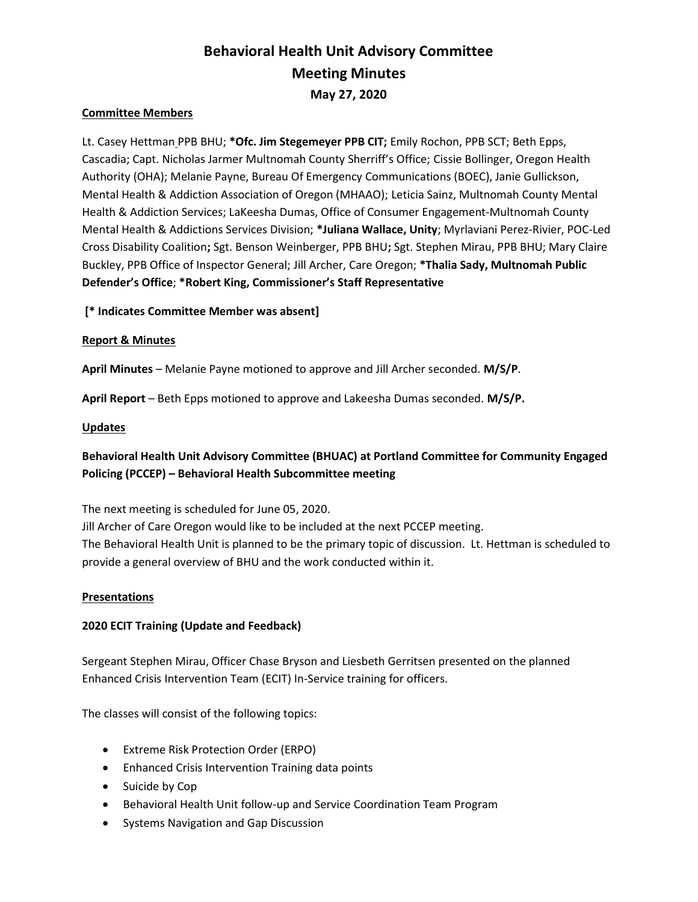# Behavioral Health Unit Advisory Committee Meeting Minutes May 27, 2020

#### Committee Members

Lt. Casey Hettman PPB BHU; \* Ofc. Jim Stegemeyer PPB CIT; Emily Rochon, PPB SCT; Beth Epps, Cascadia; Capt. Nicholas Jarmer Multnomah County Sherriff's Office; Cissie Bollinger, Oregon Health Authority (OHA); Melanie Payne, Bureau Of Emergency Communications (BOEC), Janie Gullickson, Mental Health & Addiction Association of Oregon (MHAAO); Leticia Sainz, Multnomah County Mental Health & Addiction Services; LaKeesha Dumas, Office of Consumer Engagement-Multnomah County Mental Health & Addictions Services Division; \*Juliana Wallace, Unity; Myrlaviani Perez-Rivier, POC-Led Cross Disability Coalition; Sgt. Benson Weinberger, PPB BHU; Sgt. Stephen Mirau, PPB BHU; Mary Claire Buckley, PPB Office of Inspector General; Jill Archer, Care Oregon; \*Thalia Sady, Multnomah Public Defender's Office; \*Robert King, Commissioner's Staff Representative

### [\* Indicates Committee Member was absent]

#### Report & Minutes

April Minutes – Melanie Payne motioned to approve and Jill Archer seconded. M/S/P.

April Report – Beth Epps motioned to approve and Lakeesha Dumas seconded. M/S/P.

#### **Updates**

## Behavioral Health Unit Advisory Committee (BHUAC) at Portland Committee for Community Engaged Policing (PCCEP) – Behavioral Health Subcommittee meeting

The next meeting is scheduled for June 05, 2020.

Jill Archer of Care Oregon would like to be included at the next PCCEP meeting. The Behavioral Health Unit is planned to be the primary topic of discussion. Lt. Hettman is scheduled to provide a general overview of BHU and the work conducted within it.

#### Presentations

#### 2020 ECIT Training (Update and Feedback)

Sergeant Stephen Mirau, Officer Chase Bryson and Liesbeth Gerritsen presented on the planned Enhanced Crisis Intervention Team (ECIT) In-Service training for officers.

The classes will consist of the following topics:

- Extreme Risk Protection Order (ERPO)
- Enhanced Crisis Intervention Training data points
- Suicide by Cop
- Behavioral Health Unit follow-up and Service Coordination Team Program
- Systems Navigation and Gap Discussion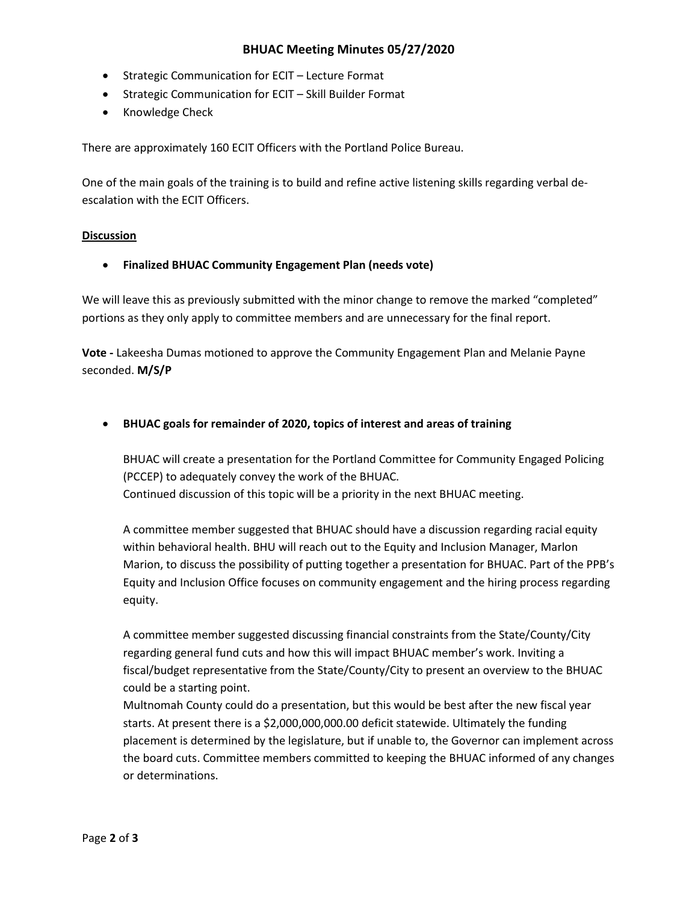## BHUAC Meeting Minutes 05/27/2020

- Strategic Communication for ECIT Lecture Format
- Strategic Communication for ECIT Skill Builder Format
- Knowledge Check

There are approximately 160 ECIT Officers with the Portland Police Bureau.

One of the main goals of the training is to build and refine active listening skills regarding verbal deescalation with the ECIT Officers.

#### **Discussion**

Finalized BHUAC Community Engagement Plan (needs vote)

We will leave this as previously submitted with the minor change to remove the marked "completed" portions as they only apply to committee members and are unnecessary for the final report.

Vote - Lakeesha Dumas motioned to approve the Community Engagement Plan and Melanie Payne seconded. M/S/P

BHUAC goals for remainder of 2020, topics of interest and areas of training

BHUAC will create a presentation for the Portland Committee for Community Engaged Policing (PCCEP) to adequately convey the work of the BHUAC. Continued discussion of this topic will be a priority in the next BHUAC meeting.

A committee member suggested that BHUAC should have a discussion regarding racial equity within behavioral health. BHU will reach out to the Equity and Inclusion Manager, Marlon Marion, to discuss the possibility of putting together a presentation for BHUAC. Part of the PPB's Equity and Inclusion Office focuses on community engagement and the hiring process regarding equity.

A committee member suggested discussing financial constraints from the State/County/City regarding general fund cuts and how this will impact BHUAC member's work. Inviting a fiscal/budget representative from the State/County/City to present an overview to the BHUAC could be a starting point.

Multnomah County could do a presentation, but this would be best after the new fiscal year starts. At present there is a \$2,000,000,000.00 deficit statewide. Ultimately the funding placement is determined by the legislature, but if unable to, the Governor can implement across the board cuts. Committee members committed to keeping the BHUAC informed of any changes or determinations.